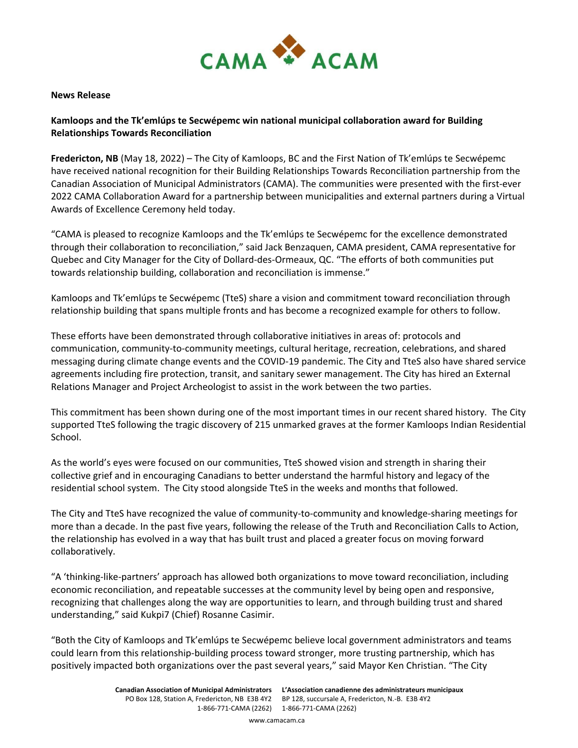

### **News Release**

# **Kamloops and the Tk'emlúps te Secwépemc win national municipal collaboration award for Building Relationships Towards Reconciliation**

**Fredericton, NB** (May 18, 2022) – The City of Kamloops, BC and the First Nation of Tk'emlúps te Secwépemc have received national recognition for their Building Relationships Towards Reconciliation partnership from the Canadian Association of Municipal Administrators (CAMA). The communities were presented with the first-ever 2022 CAMA Collaboration Award for a partnership between municipalities and external partners during a Virtual Awards of Excellence Ceremony held today.

"CAMA is pleased to recognize Kamloops and the Tk'emlúps te Secwépemc for the excellence demonstrated through their collaboration to reconciliation," said Jack Benzaquen, CAMA president, CAMA representative for Quebec and City Manager for the City of Dollard-des-Ormeaux, QC. "The efforts of both communities put towards relationship building, collaboration and reconciliation is immense."

Kamloops and Tk'emlúps te Secwépemc (TteS) share a vision and commitment toward reconciliation through relationship building that spans multiple fronts and has become a recognized example for others to follow.

These efforts have been demonstrated through collaborative initiatives in areas of: protocols and communication, community-to-community meetings, cultural heritage, recreation, celebrations, and shared messaging during climate change events and the COVID-19 pandemic. The City and TteS also have shared service agreements including fire protection, transit, and sanitary sewer management. The City has hired an External Relations Manager and Project Archeologist to assist in the work between the two parties.

This commitment has been shown during one of the most important times in our recent shared history. The City supported TteS following the tragic discovery of 215 unmarked graves at the former Kamloops Indian Residential School.

As the world's eyes were focused on our communities, TteS showed vision and strength in sharing their collective grief and in encouraging Canadians to better understand the harmful history and legacy of the residential school system. The City stood alongside TteS in the weeks and months that followed.

The City and TteS have recognized the value of community-to-community and knowledge-sharing meetings for more than a decade. In the past five years, following the release of the Truth and Reconciliation Calls to Action, the relationship has evolved in a way that has built trust and placed a greater focus on moving forward collaboratively.

"A 'thinking-like-partners' approach has allowed both organizations to move toward reconciliation, including economic reconciliation, and repeatable successes at the community level by being open and responsive, recognizing that challenges along the way are opportunities to learn, and through building trust and shared understanding," said Kukpi7 (Chief) Rosanne Casimir.

"Both the City of Kamloops and Tk'emlúps te Secwépemc believe local government administrators and teams could learn from this relationship-building process toward stronger, more trusting partnership, which has positively impacted both organizations over the past several years," said Mayor Ken Christian. "The City